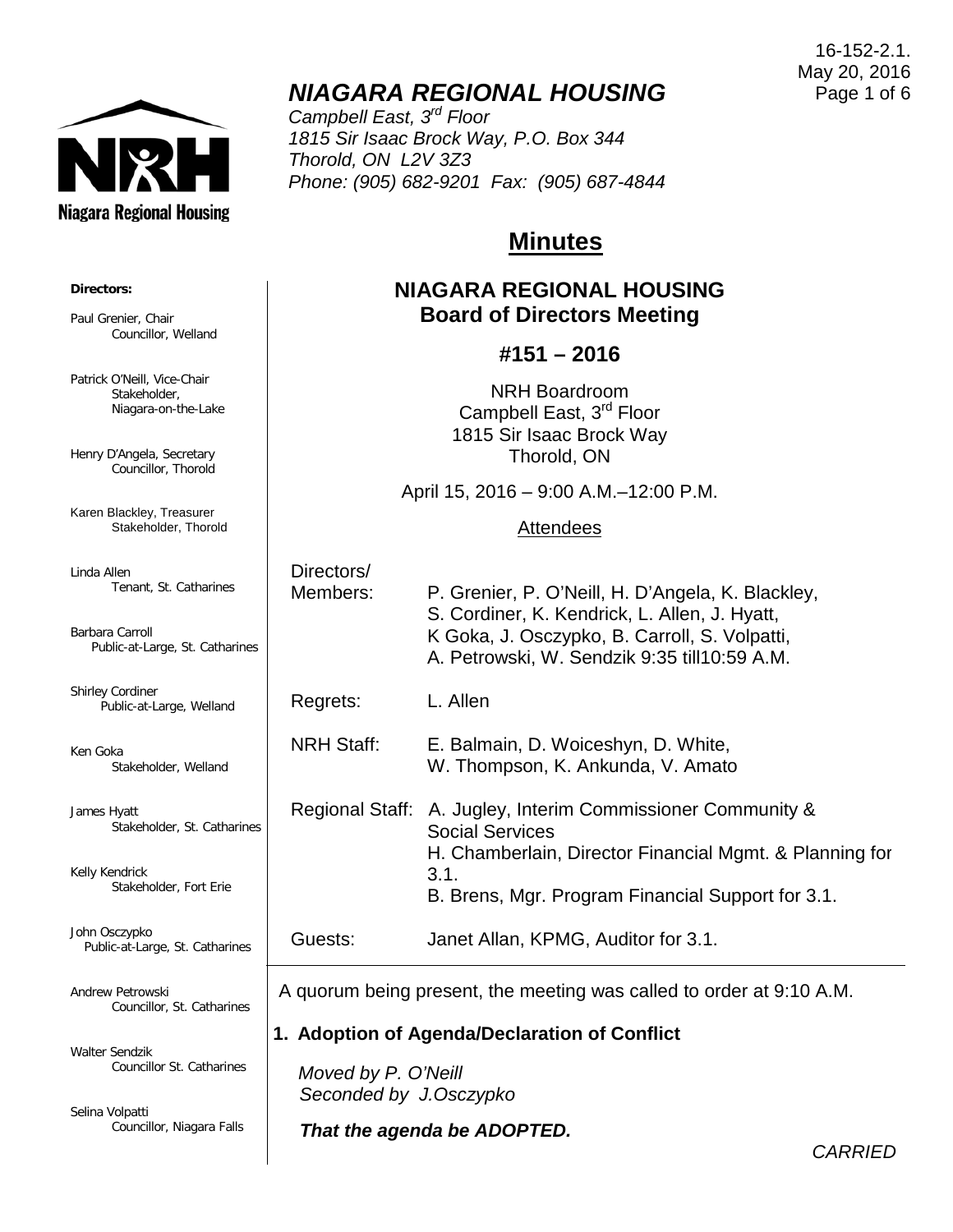

# *NIAGARA REGIONAL HOUSING*

*Campbell East, 3rd Floor 1815 Sir Isaac Brock Way, P.O. Box 344 Thorold, ON L2V 3Z3 Phone: (905) 682-9201 Fax: (905) 687-4844*

## **Minutes**

## **NIAGARA REGIONAL HOUSING Board of Directors Meeting**

#### **#151 – 2016**

NRH Boardroom Campbell East, 3<sup>rd</sup> Floor 1815 Sir Isaac Brock Way Thorold, ON

April 15, 2016 – 9:00 A.M.–12:00 P.M.

#### Attendees

| ines  | Directors/<br>Members: | P. Grenier, P. O'Neill, H. D'Angela, K. Blackley,<br>S. Cordiner, K. Kendrick, L. Allen, J. Hyatt,<br>K Goka, J. Osczypko, B. Carroll, S. Volpatti,<br>A. Petrowski, W. Sendzik 9:35 till10:59 A.M.           |
|-------|------------------------|---------------------------------------------------------------------------------------------------------------------------------------------------------------------------------------------------------------|
|       | Regrets:               | L. Allen                                                                                                                                                                                                      |
|       | <b>NRH Staff:</b>      | E. Balmain, D. Woiceshyn, D. White,<br>W. Thompson, K. Ankunda, V. Amato                                                                                                                                      |
| rines |                        | Regional Staff: A. Jugley, Interim Commissioner Community &<br><b>Social Services</b><br>H. Chamberlain, Director Financial Mgmt. & Planning for<br>3.1.<br>B. Brens, Mgr. Program Financial Support for 3.1. |
| es    | Guests:                | Janet Allan, KPMG, Auditor for 3.1.                                                                                                                                                                           |
|       |                        |                                                                                                                                                                                                               |

A quorum being present, the meeting was called to order at 9:10 A.M.

#### **1. Adoption of Agenda/Declaration of Conflict**

 *Moved by P. O'Neill Seconded by J.Osczypko*

*That the agenda be ADOPTED.*

16-152-2.1. May 20, 2016 Page 1 of 6

*CARRIED*

# **Directors:**

Paul Grenier, Chair Councillor, Welland

Patrick O'Neill, Vice-Chair Stakeholder, Niagara-on-the-Lake

Henry D'Angela, Secretary Councillor, Thorold

Karen Blackley, Treasurer Stakeholder, Thorold

Linda Allen Tenant, St. Catharines

Barbara Carroll Public-at-Large, St. Cathar

Shirley Cordiner Public-at-Large, Welland

Ken Goka Stakeholder, Welland

James Hyatt Stakeholder, St. Catha

Kelly Kendrick Stakeholder, Fort Erie

John Osczypko Public-at-Large, St. Catharir

Andrew Petrowski Councillor, St. Catharines

Walter Sendzik Councillor St. Catharines

Selina Volpatti Councillor, Niagara Falls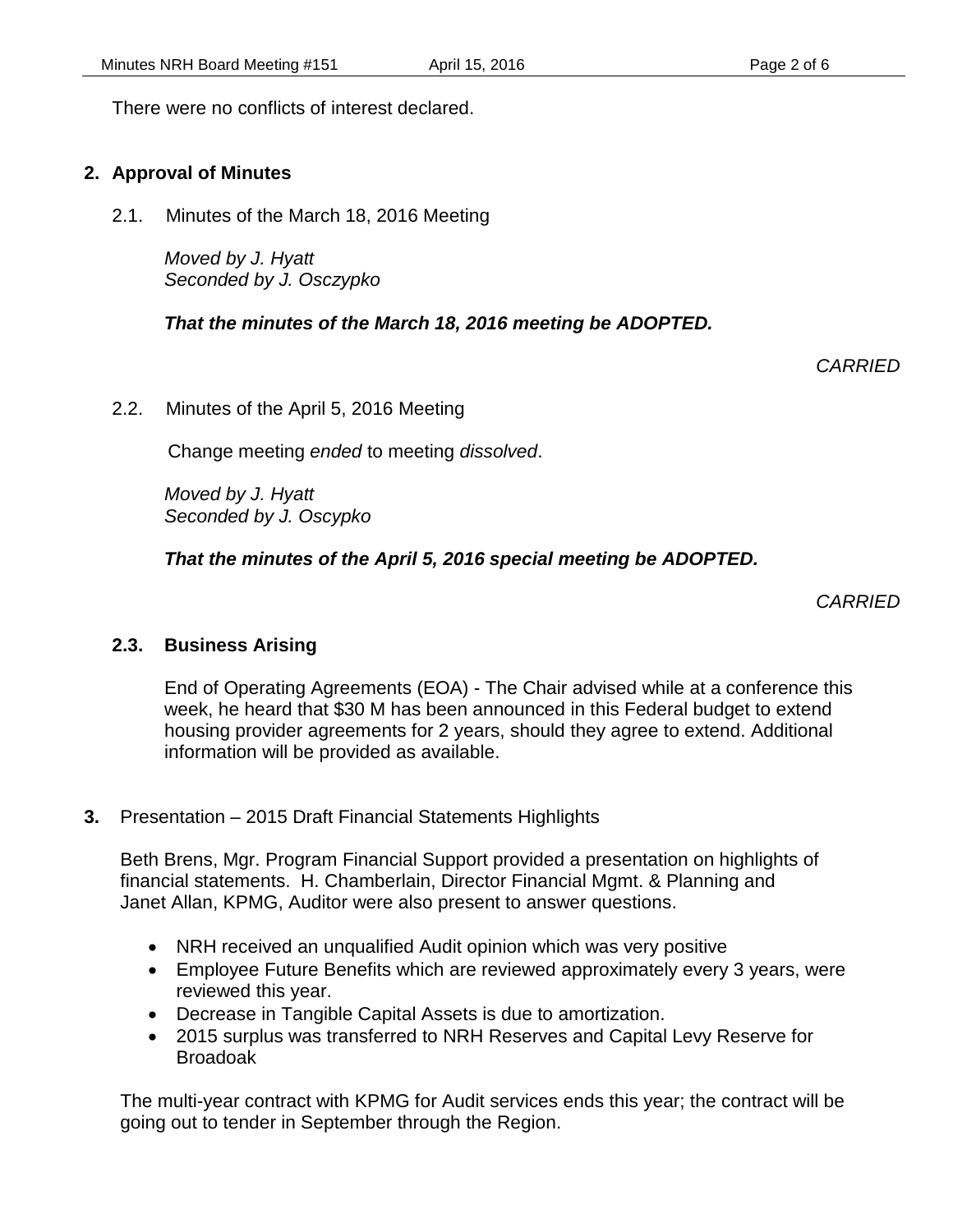There were no conflicts of interest declared.

#### **2. Approval of Minutes**

2.1. Minutes of the March 18, 2016 Meeting

*Moved by J. Hyatt Seconded by J. Osczypko*

#### *That the minutes of the March 18, 2016 meeting be ADOPTED.*

*CARRIED*

2.2. Minutes of the April 5, 2016 Meeting

Change meeting *ended* to meeting *dissolved*.

*Moved by J. Hyatt Seconded by J. Oscypko*

 *That the minutes of the April 5, 2016 special meeting be ADOPTED.*

*CARRIED*

#### **2.3. Business Arising**

End of Operating Agreements (EOA) - The Chair advised while at a conference this week, he heard that \$30 M has been announced in this Federal budget to extend housing provider agreements for 2 years, should they agree to extend. Additional information will be provided as available.

#### **3.** Presentation – 2015 Draft Financial Statements Highlights

Beth Brens, Mgr. Program Financial Support provided a presentation on highlights of financial statements. H. Chamberlain, Director Financial Mgmt. & Planning and Janet Allan, KPMG, Auditor were also present to answer questions.

- NRH received an unqualified Audit opinion which was very positive
- Employee Future Benefits which are reviewed approximately every 3 years, were reviewed this year.
- Decrease in Tangible Capital Assets is due to amortization.
- 2015 surplus was transferred to NRH Reserves and Capital Levy Reserve for Broadoak

The multi-year contract with KPMG for Audit services ends this year; the contract will be going out to tender in September through the Region.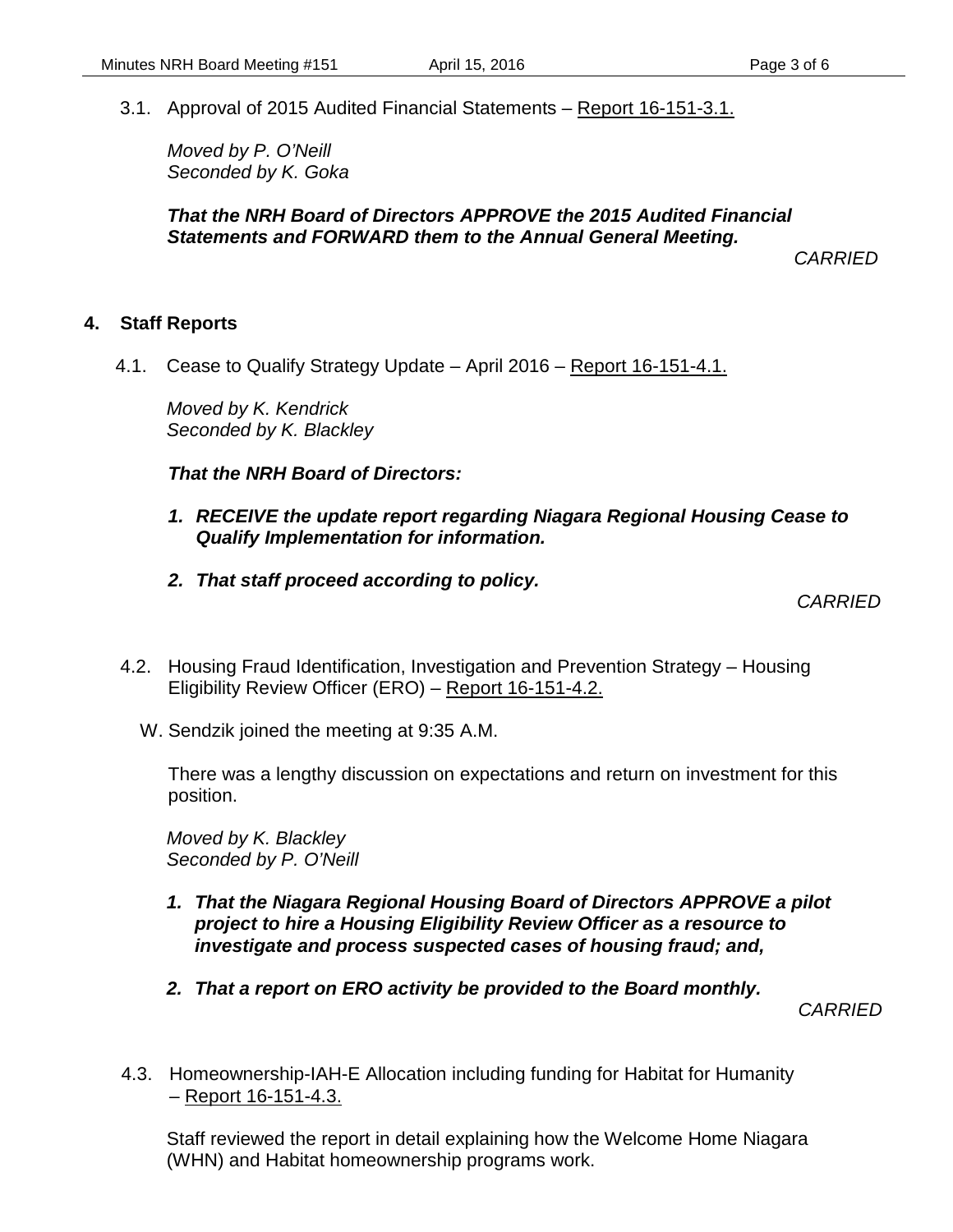3.1. Approval of 2015 Audited Financial Statements – Report 16-151-3.1.

*Moved by P. O'Neill Seconded by K. Goka*

#### *That the NRH Board of Directors APPROVE the 2015 Audited Financial Statements and FORWARD them to the Annual General Meeting.*

*CARRIED*

#### **4. Staff Reports**

4.1. Cease to Qualify Strategy Update – April 2016 – Report 16-151-4.1.

*Moved by K. Kendrick Seconded by K. Blackley*

*That the NRH Board of Directors:*

- *1. RECEIVE the update report regarding Niagara Regional Housing Cease to Qualify Implementation for information.*
- *2. That staff proceed according to policy.*

*CARRIED*

- 4.2. Housing Fraud Identification, Investigation and Prevention Strategy Housing Eligibility Review Officer (ERO) – Report 16-151-4.2.
	- W. Sendzik joined the meeting at 9:35 A.M.

There was a lengthy discussion on expectations and return on investment for this position.

*Moved by K. Blackley Seconded by P. O'Neill*

- *1. That the Niagara Regional Housing Board of Directors APPROVE a pilot project to hire a Housing Eligibility Review Officer as a resource to investigate and process suspected cases of housing fraud; and,*
- *2. That a report on ERO activity be provided to the Board monthly.*

*CARRIED*

4.3. Homeownership-IAH-E Allocation including funding for Habitat for Humanity – Report 16-151-4.3.

Staff reviewed the report in detail explaining how the Welcome Home Niagara (WHN) and Habitat homeownership programs work.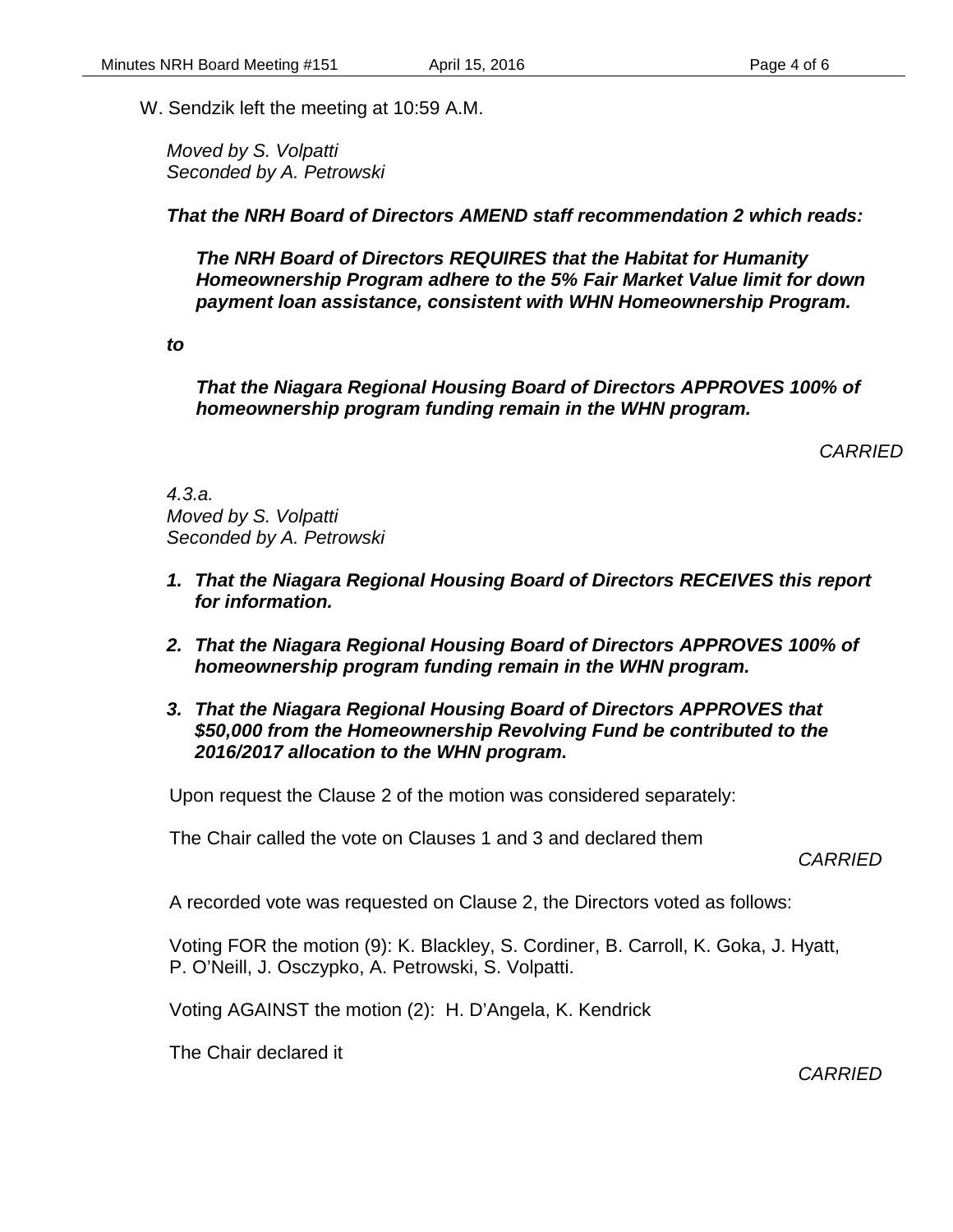W. Sendzik left the meeting at 10:59 A.M.

*Moved by S. Volpatti Seconded by A. Petrowski*

*That the NRH Board of Directors AMEND staff recommendation 2 which reads:*

*The NRH Board of Directors REQUIRES that the Habitat for Humanity Homeownership Program adhere to the 5% Fair Market Value limit for down payment loan assistance, consistent with WHN Homeownership Program.*

*to*

*That the Niagara Regional Housing Board of Directors APPROVES 100% of homeownership program funding remain in the WHN program.*

*CARRIED*

*4.3.a. Moved by S. Volpatti Seconded by A. Petrowski*

- *1. That the Niagara Regional Housing Board of Directors RECEIVES this report for information.*
- *2. That the Niagara Regional Housing Board of Directors APPROVES 100% of homeownership program funding remain in the WHN program.*
- *3. That the Niagara Regional Housing Board of Directors APPROVES that \$50,000 from the Homeownership Revolving Fund be contributed to the 2016/2017 allocation to the WHN program.*

Upon request the Clause 2 of the motion was considered separately:

The Chair called the vote on Clauses 1 and 3 and declared them

*CARRIED*

A recorded vote was requested on Clause 2, the Directors voted as follows:

Voting FOR the motion (9): K. Blackley, S. Cordiner, B. Carroll, K. Goka, J. Hyatt, P. O'Neill, J. Osczypko, A. Petrowski, S. Volpatti.

Voting AGAINST the motion (2): H. D'Angela, K. Kendrick

The Chair declared it

*CARRIED*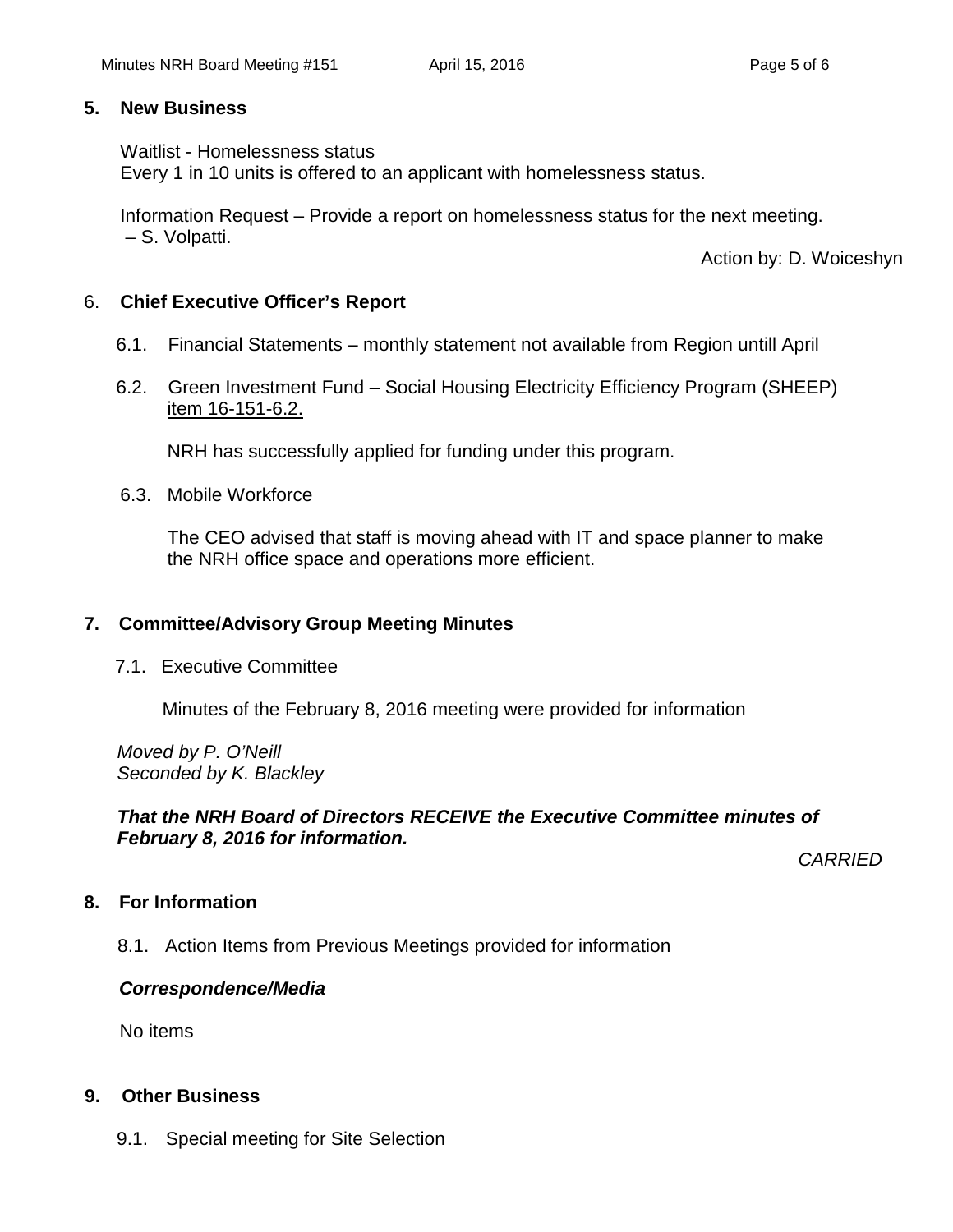#### **5. New Business**

#### Waitlist - Homelessness status

Every 1 in 10 units is offered to an applicant with homelessness status.

Information Request – Provide a report on homelessness status for the next meeting. – S. Volpatti.

Action by: D. Woiceshyn

#### 6. **Chief Executive Officer's Report**

- 6.1. Financial Statements monthly statement not available from Region untill April
- 6.2. Green Investment Fund Social Housing Electricity Efficiency Program (SHEEP) item 16-151-6.2.

NRH has successfully applied for funding under this program.

6.3. Mobile Workforce

The CEO advised that staff is moving ahead with IT and space planner to make the NRH office space and operations more efficient.

## **7. Committee/Advisory Group Meeting Minutes**

7.1. Executive Committee

Minutes of the February 8, 2016 meeting were provided for information

*Moved by P. O'Neill Seconded by K. Blackley*

#### *That the NRH Board of Directors RECEIVE the Executive Committee minutes of February 8, 2016 for information.*

*CARRIED*

## **8. For Information**

8.1. Action Items from Previous Meetings provided for information

## *Correspondence/Media*

No items

#### **9. Other Business**

9.1. Special meeting for Site Selection